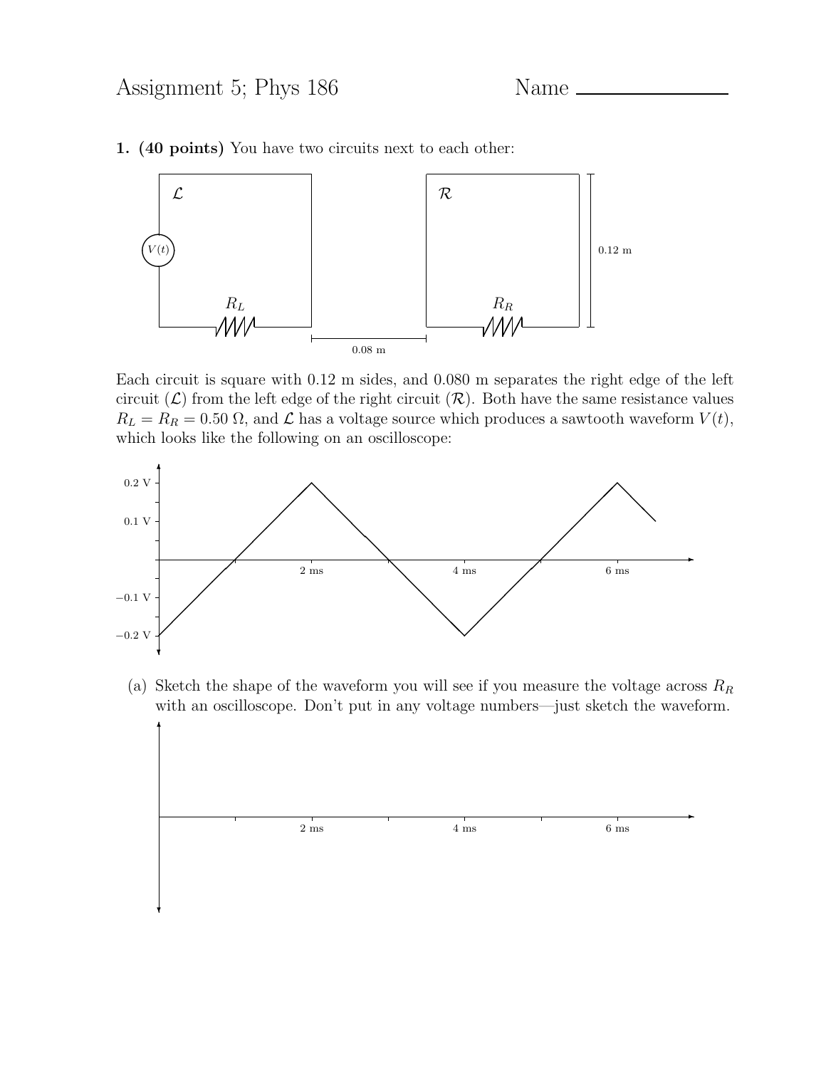

1. (40 points) You have two circuits next to each other:

Each circuit is square with 0.12 m sides, and 0.080 m separates the right edge of the left circuit  $(\mathcal{L})$  from the left edge of the right circuit  $(\mathcal{R})$ . Both have the same resistance values  $R_L = R_R = 0.50 \Omega$ , and  $\mathcal L$  has a voltage source which produces a sawtooth waveform  $V(t)$ , which looks like the following on an oscilloscope:



(a) Sketch the shape of the waveform you will see if you measure the voltage across  $R_R$ with an oscilloscope. Don't put in any voltage numbers—just sketch the waveform.

✻

❄

 $2 \text{ ms}$  6 ms

 $\ddot{\phantom{a}}$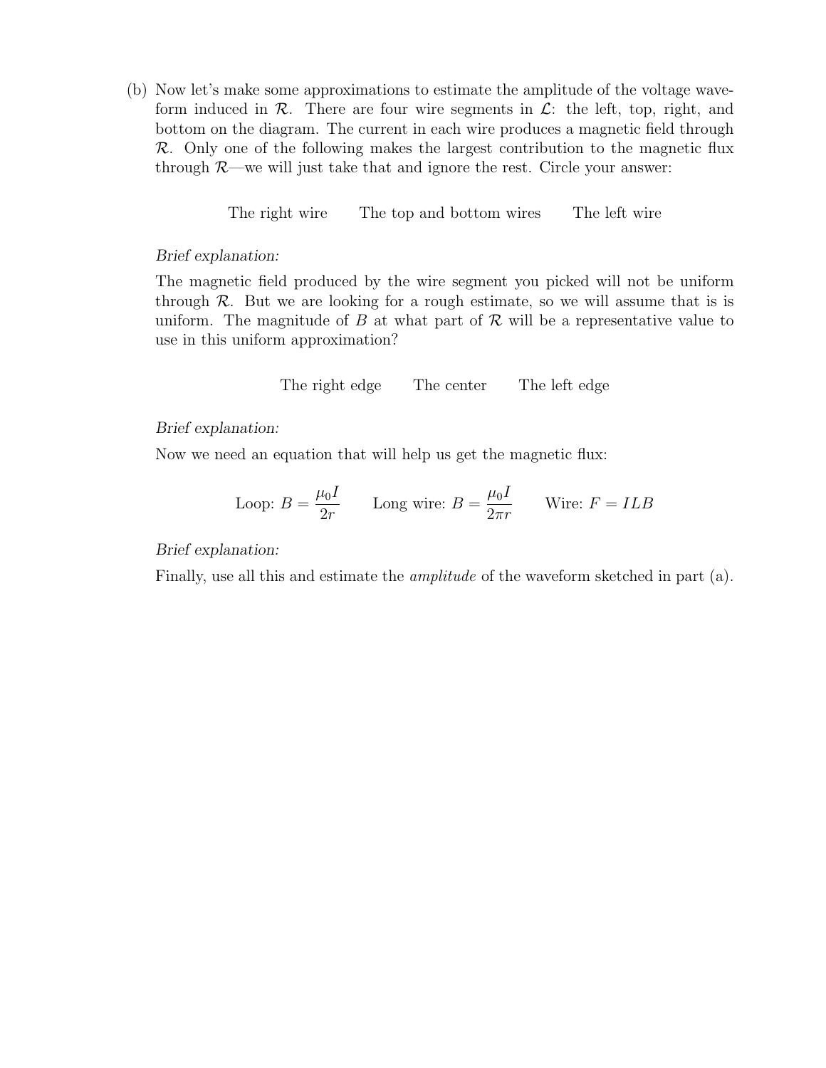(b) Now let's make some approximations to estimate the amplitude of the voltage waveform induced in  $\mathcal{R}$ . There are four wire segments in  $\mathcal{L}$ : the left, top, right, and bottom on the diagram. The current in each wire produces a magnetic field through  $\mathcal R$ . Only one of the following makes the largest contribution to the magnetic flux through  $\mathcal{R}$ —we will just take that and ignore the rest. Circle your answer:

The right wire The top and bottom wires The left wire

Brief explanation:

The magnetic field produced by the wire segment you picked will not be uniform through  $\mathcal R$ . But we are looking for a rough estimate, so we will assume that is is uniform. The magnitude of B at what part of  $\mathcal R$  will be a representative value to use in this uniform approximation?

The right edge The center The left edge

Brief explanation:

Now we need an equation that will help us get the magnetic flux:

Loop: 
$$
B = \frac{\mu_0 I}{2r}
$$
 Long wire:  $B = \frac{\mu_0 I}{2\pi r}$  Write:  $F = ILB$ 

## Brief explanation:

Finally, use all this and estimate the amplitude of the waveform sketched in part (a).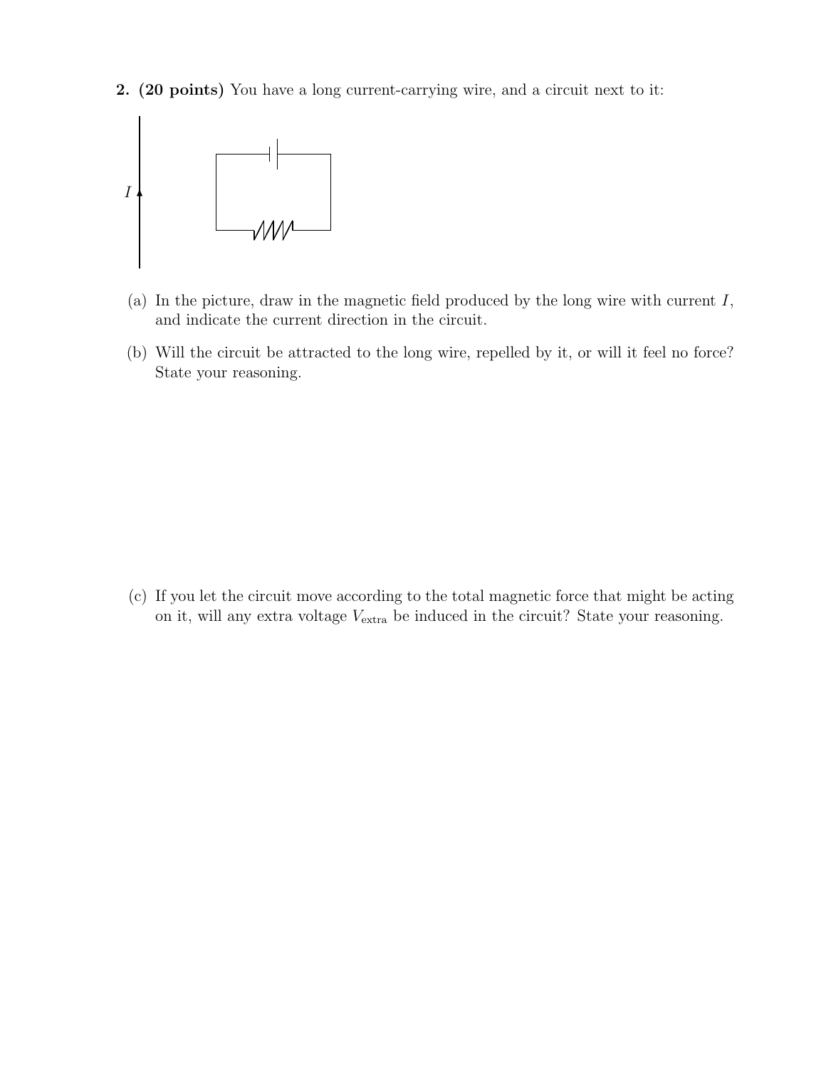2. (20 points) You have a long current-carrying wire, and a circuit next to it:



- (a) In the picture, draw in the magnetic field produced by the long wire with current  $I$ , and indicate the current direction in the circuit.
- (b) Will the circuit be attracted to the long wire, repelled by it, or will it feel no force? State your reasoning.

(c) If you let the circuit move according to the total magnetic force that might be acting on it, will any extra voltage  $V_{\text{extra}}$  be induced in the circuit? State your reasoning.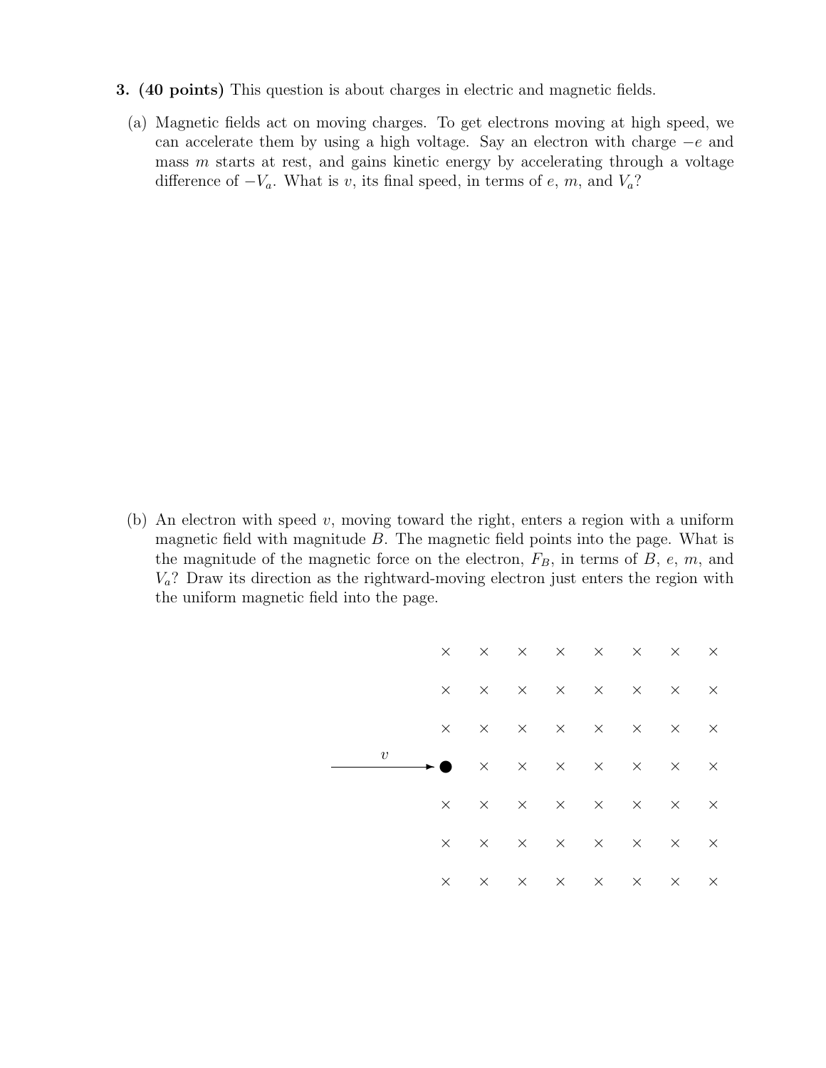- 3. (40 points) This question is about charges in electric and magnetic fields.
	- (a) Magnetic fields act on moving charges. To get electrons moving at high speed, we can accelerate them by using a high voltage. Say an electron with charge −e and mass  $m$  starts at rest, and gains kinetic energy by accelerating through a voltage difference of  $-V_a$ . What is v, its final speed, in terms of e, m, and  $V_a$ ?

(b) An electron with speed  $v$ , moving toward the right, enters a region with a uniform magnetic field with magnitude  $B$ . The magnetic field points into the page. What is the magnitude of the magnetic force on the electron,  $F_B$ , in terms of  $B$ ,  $e$ ,  $m$ , and  $V_a$ ? Draw its direction as the rightward-moving electron just enters the region with the uniform magnetic field into the page.

|  |            |                |          |          |  | $\begin{array}{cccccccccccccc} \times & \times & \times & \times & \times & \times & \times & \times \end{array}$                                                                                                                                                                                                                                                                                           |          |
|--|------------|----------------|----------|----------|--|-------------------------------------------------------------------------------------------------------------------------------------------------------------------------------------------------------------------------------------------------------------------------------------------------------------------------------------------------------------------------------------------------------------|----------|
|  |            | $\times$       | $\times$ |          |  | $\times$ $\times$ $\times$ $\times$ $\times$                                                                                                                                                                                                                                                                                                                                                                | $\times$ |
|  |            | $\times$       |          |          |  | $\times$ $\times$ $\times$ $\times$ $\times$ $\times$                                                                                                                                                                                                                                                                                                                                                       | $\times$ |
|  | $\upsilon$ | $\blacksquare$ |          |          |  | $\begin{array}{cccccccccccccc} \times & \times & \times & \times & \times & \times & \times \end{array}$                                                                                                                                                                                                                                                                                                    |          |
|  |            | $\times$       |          |          |  | $\times$ $\times$ $\times$ $\times$ $\times$ $\times$                                                                                                                                                                                                                                                                                                                                                       | $\times$ |
|  |            | $\times$       | $\times$ |          |  | $\times\hspace{0.1cm} \times \hspace{0.1cm} \times \hspace{0.1cm} \times \hspace{0.1cm} \times \hspace{0.1cm} \hspace{0.1cm} \hspace{0.1cm} \hspace{0.1cm} \hspace{0.1cm} \hspace{0.1cm} \hspace{0.1cm}\hspace{0.1cm}\hspace{0.1cm}\hspace{0.1cm}\hspace{0.1cm}\hspace{0.1cm}\hspace{0.1cm}\hspace{0.1cm}\hspace{0.1cm}\hspace{0.1cm}\hspace{0.1cm}\hspace{0.1cm}\hspace{0.1cm}\hspace{0.1cm}\hspace{0.1cm$ |          |
|  |            | X              | $\times$ | $\times$ |  | $\times$ $\times$ $\times$ $\times$                                                                                                                                                                                                                                                                                                                                                                         | $\times$ |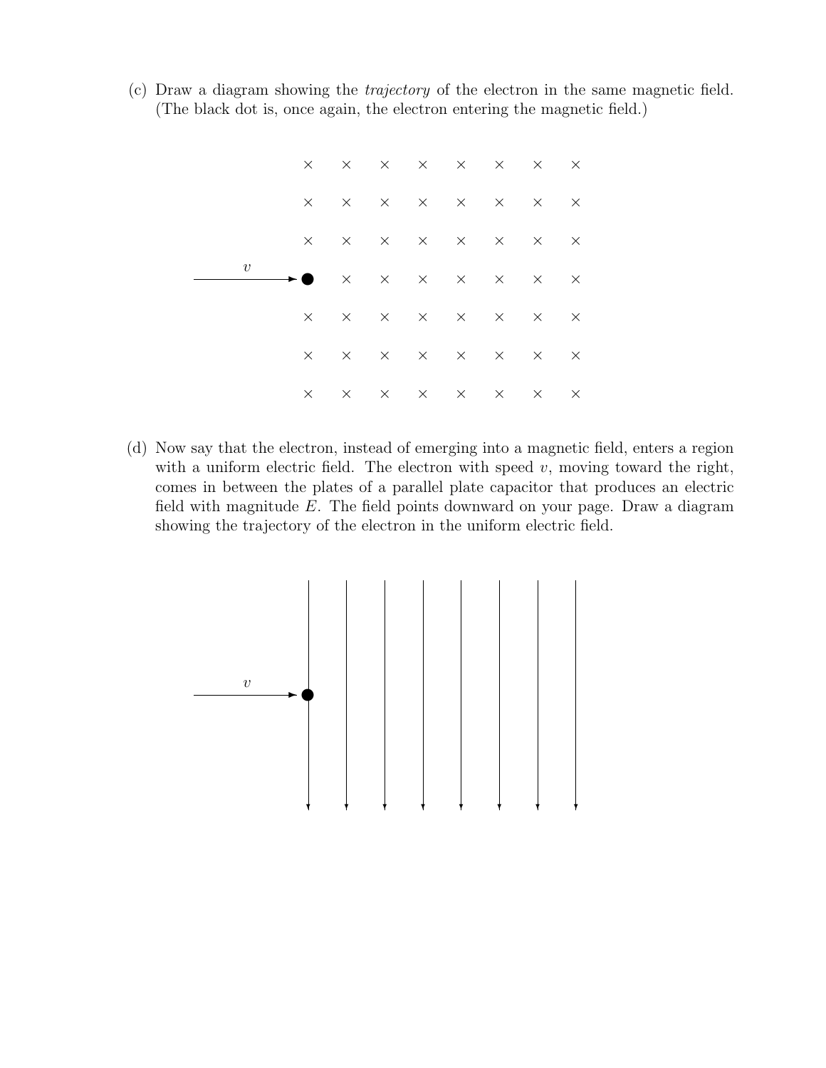(c) Draw a diagram showing the trajectory of the electron in the same magnetic field. (The black dot is, once again, the electron entering the magnetic field.)



(d) Now say that the electron, instead of emerging into a magnetic field, enters a region with a uniform electric field. The electron with speed  $v$ , moving toward the right, comes in between the plates of a parallel plate capacitor that produces an electric field with magnitude E. The field points downward on your page. Draw a diagram showing the trajectory of the electron in the uniform electric field.